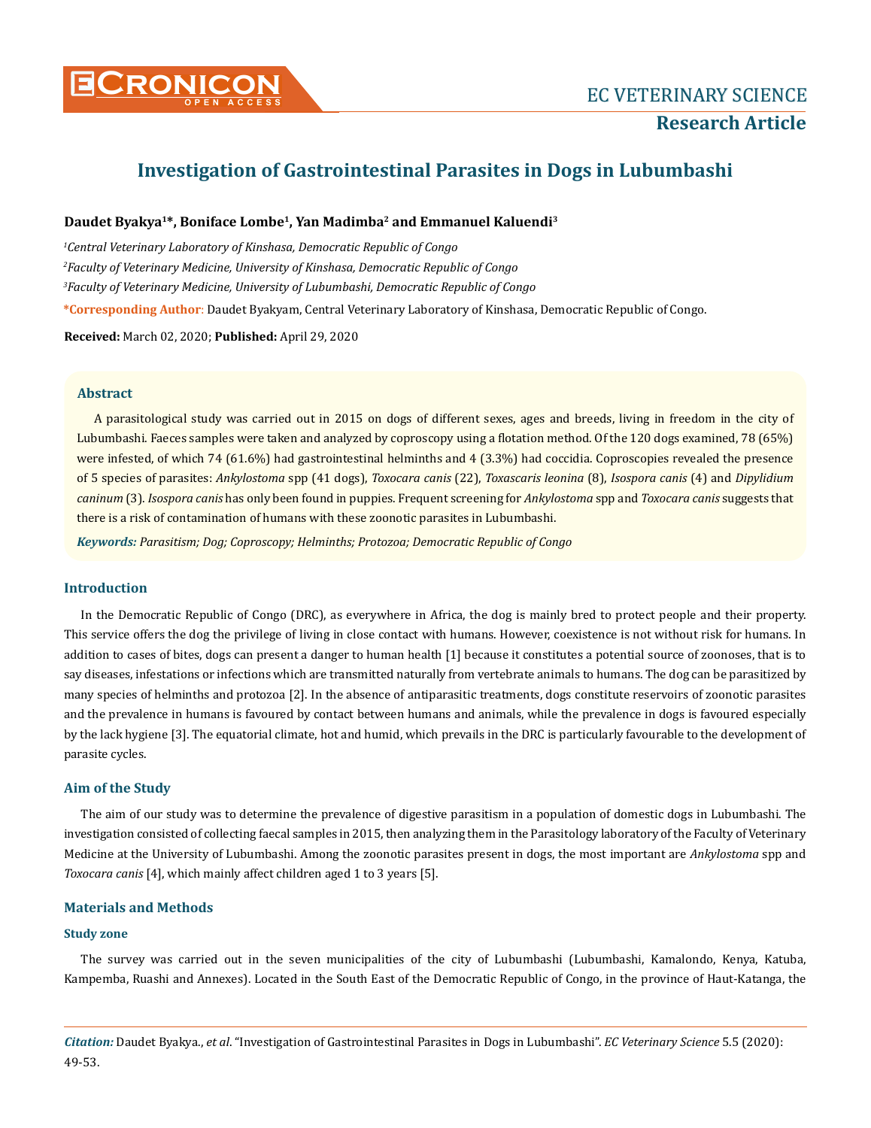

# **Investigation of Gastrointestinal Parasites in Dogs in Lubumbashi**

## **Daudet Byakya1\*, Boniface Lombe1, Yan Madimba2 and Emmanuel Kaluendi3**

 *Central Veterinary Laboratory of Kinshasa, Democratic Republic of Congo Faculty of Veterinary Medicine, University of Kinshasa, Democratic Republic of Congo Faculty of Veterinary Medicine, University of Lubumbashi, Democratic Republic of Congo* **\*Corresponding Author**: Daudet Byakyam, Central Veterinary Laboratory of Kinshasa, Democratic Republic of Congo.

**Received:** March 02, 2020; **Published:** April 29, 2020

## **Abstract**

A parasitological study was carried out in 2015 on dogs of different sexes, ages and breeds, living in freedom in the city of Lubumbashi. Faeces samples were taken and analyzed by coproscopy using a flotation method. Of the 120 dogs examined, 78 (65%) were infested, of which 74 (61.6%) had gastrointestinal helminths and 4 (3.3%) had coccidia. Coproscopies revealed the presence of 5 species of parasites: *Ankylostoma* spp (41 dogs), *Toxocara canis* (22), *Toxascaris leonina* (8), *Isospora canis* (4) and *Dipylidium caninum* (3). *Isospora canis* has only been found in puppies. Frequent screening for *Ankylostoma* spp and *Toxocara canis* suggests that there is a risk of contamination of humans with these zoonotic parasites in Lubumbashi.

*Keywords: Parasitism; Dog; Coproscopy; Helminths; Protozoa; Democratic Republic of Congo*

## **Introduction**

In the Democratic Republic of Congo (DRC), as everywhere in Africa, the dog is mainly bred to protect people and their property. This service offers the dog the privilege of living in close contact with humans. However, coexistence is not without risk for humans. In addition to cases of bites, dogs can present a danger to human health [1] because it constitutes a potential source of zoonoses, that is to say diseases, infestations or infections which are transmitted naturally from vertebrate animals to humans. The dog can be parasitized by many species of helminths and protozoa [2]. In the absence of antiparasitic treatments, dogs constitute reservoirs of zoonotic parasites and the prevalence in humans is favoured by contact between humans and animals, while the prevalence in dogs is favoured especially by the lack hygiene [3]. The equatorial climate, hot and humid, which prevails in the DRC is particularly favourable to the development of parasite cycles.

## **Aim of the Study**

The aim of our study was to determine the prevalence of digestive parasitism in a population of domestic dogs in Lubumbashi. The investigation consisted of collecting faecal samples in 2015, then analyzing them in the Parasitology laboratory of the Faculty of Veterinary Medicine at the University of Lubumbashi. Among the zoonotic parasites present in dogs, the most important are *Ankylostoma* spp and *Toxocara canis* [4], which mainly affect children aged 1 to 3 years [5].

#### **Materials and Methods**

### **Study zone**

The survey was carried out in the seven municipalities of the city of Lubumbashi (Lubumbashi, Kamalondo, Kenya, Katuba, Kampemba, Ruashi and Annexes). Located in the South East of the Democratic Republic of Congo, in the province of Haut-Katanga, the

*Citation:* Daudet Byakya., *et al*. "Investigation of Gastrointestinal Parasites in Dogs in Lubumbashi". *EC Veterinary Science* 5.5 (2020): 49-53.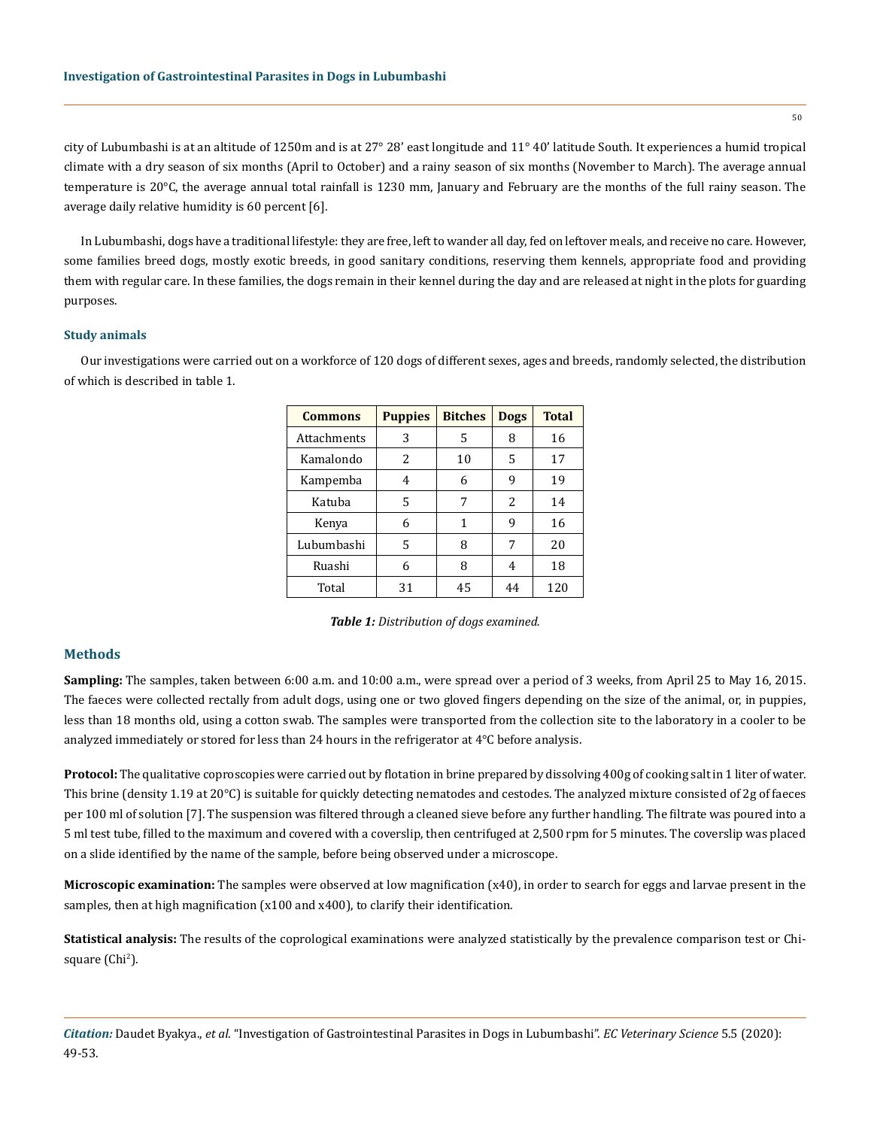city of Lubumbashi is at an altitude of 1250m and is at 27° 28' east longitude and 11° 40' latitude South. It experiences a humid tropical climate with a dry season of six months (April to October) and a rainy season of six months (November to March). The average annual temperature is 20°C, the average annual total rainfall is 1230 mm, January and February are the months of the full rainy season. The average daily relative humidity is 60 percent [6].

In Lubumbashi, dogs have a traditional lifestyle: they are free, left to wander all day, fed on leftover meals, and receive no care. However, some families breed dogs, mostly exotic breeds, in good sanitary conditions, reserving them kennels, appropriate food and providing them with regular care. In these families, the dogs remain in their kennel during the day and are released at night in the plots for guarding purposes.

#### **Study animals**

Our investigations were carried out on a workforce of 120 dogs of different sexes, ages and breeds, randomly selected, the distribution of which is described in table 1.

| <b>Commons</b> | <b>Puppies</b> | <b>Bitches</b> | <b>Dogs</b>   | <b>Total</b> |
|----------------|----------------|----------------|---------------|--------------|
| Attachments    | 3              | 5              | 8             | 16           |
| Kamalondo      | 2              | 10             | 5             | 17           |
| Kampemba       | 4              | 6              | 9             | 19           |
| Katuba         | 5              | 7              | $\mathcal{L}$ | 14           |
| Kenya          | 6              | 1              | 9             | 16           |
| Lubumbashi     | 5              | 8              | 7             | 20           |
| Ruashi         | 6              | 8              | 4             | 18           |
| Total          | 31             | 45             | 44            | 120          |

*Table 1: Distribution of dogs examined.*

## **Methods**

**Sampling:** The samples, taken between 6:00 a.m. and 10:00 a.m., were spread over a period of 3 weeks, from April 25 to May 16, 2015. The faeces were collected rectally from adult dogs, using one or two gloved fingers depending on the size of the animal, or, in puppies, less than 18 months old, using a cotton swab. The samples were transported from the collection site to the laboratory in a cooler to be analyzed immediately or stored for less than 24 hours in the refrigerator at 4°C before analysis.

**Protocol:** The qualitative coproscopies were carried out by flotation in brine prepared by dissolving 400g of cooking salt in 1 liter of water. This brine (density 1.19 at 20°C) is suitable for quickly detecting nematodes and cestodes. The analyzed mixture consisted of 2g of faeces per 100 ml of solution [7]. The suspension was filtered through a cleaned sieve before any further handling. The filtrate was poured into a 5 ml test tube, filled to the maximum and covered with a coverslip, then centrifuged at 2,500 rpm for 5 minutes. The coverslip was placed on a slide identified by the name of the sample, before being observed under a microscope.

**Microscopic examination:** The samples were observed at low magnification (x40), in order to search for eggs and larvae present in the samples, then at high magnification (x100 and x400), to clarify their identification.

**Statistical analysis:** The results of the coprological examinations were analyzed statistically by the prevalence comparison test or Chisquare (Chi<sup>2</sup>).

*Citation:* Daudet Byakya., *et al*. "Investigation of Gastrointestinal Parasites in Dogs in Lubumbashi". *EC Veterinary Science* 5.5 (2020): 49-53.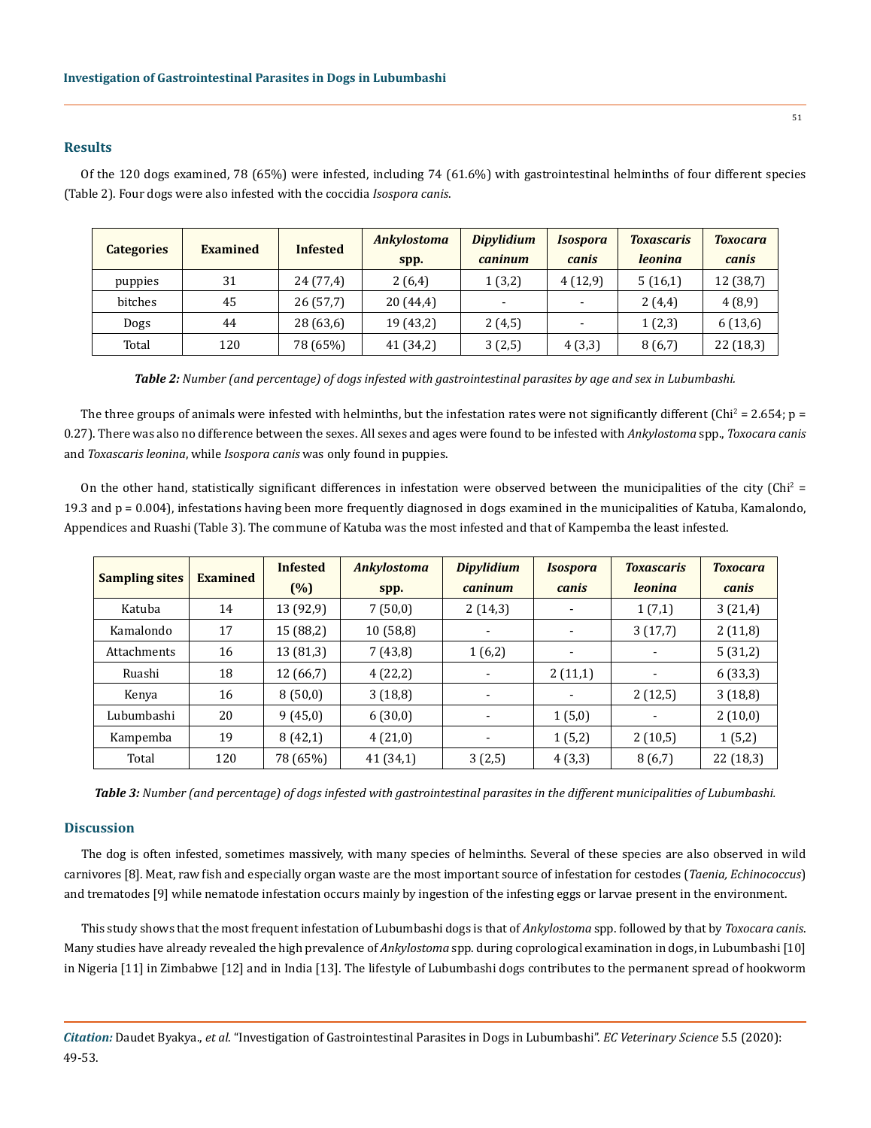## **Results**

Of the 120 dogs examined, 78 (65%) were infested, including 74 (61.6%) with gastrointestinal helminths of four different species (Table 2). Four dogs were also infested with the coccidia *Isospora canis*.

| <b>Categories</b> | <b>Examined</b> | <b>Infested</b> | <b>Ankylostoma</b> | <b>Dipylidium</b>        | <i><b>Isospora</b></i>   | <b>Toxascaris</b> | <b>Toxocara</b> |
|-------------------|-----------------|-----------------|--------------------|--------------------------|--------------------------|-------------------|-----------------|
|                   |                 |                 | spp.               | caninum                  | canis                    | <i>leoning</i>    | canis           |
| puppies           | 31              | 24 (77,4)       | 2(6,4)             | 1(3,2)                   | 4(12,9)                  | 5(16,1)           | 12 (38,7)       |
| bitches           | 45              | 26(57,7)        | 20 (44,4)          | $\overline{\phantom{0}}$ | $\overline{\phantom{a}}$ | 2(4,4)            | 4(8,9)          |
| Dogs              | 44              | 28 (63,6)       | 19 (43,2)          | 2(4,5)                   |                          | 1(2,3)            | 6(13,6)         |
| Total             | 120             | 78 (65%)        | 41 (34,2)          | 3(2,5)                   | 4(3,3)                   | 8(6,7)            | 22 (18,3)       |

*Table 2: Number (and percentage) of dogs infested with gastrointestinal parasites by age and sex in Lubumbashi.*

The three groups of animals were infested with helminths, but the infestation rates were not significantly different (Chi $^2$  = 2.654; p = 0.27). There was also no difference between the sexes. All sexes and ages were found to be infested with *Ankylostoma* spp., *Toxocara canis* and *Toxascaris leonina*, while *Isospora canis* was only found in puppies.

On the other hand, statistically significant differences in infestation were observed between the municipalities of the city (Chi<sup>2</sup> = 19.3 and p = 0.004), infestations having been more frequently diagnosed in dogs examined in the municipalities of Katuba, Kamalondo, Appendices and Ruashi (Table 3). The commune of Katuba was the most infested and that of Kampemba the least infested.

| <b>Sampling sites</b> | <b>Examined</b> | <b>Infested</b> | <b>Ankylostoma</b> | <b>Dipylidium</b> | <b>Isospora</b>          | <b>Toxascaris</b>        | <b>Toxocara</b> |
|-----------------------|-----------------|-----------------|--------------------|-------------------|--------------------------|--------------------------|-----------------|
|                       |                 | (%)             | spp.               | caninum           | canis                    | <i>leonina</i>           | canis           |
| Katuba                | 14              | 13 (92,9)       | 7(50,0)            | 2(14,3)           | $\overline{\phantom{a}}$ | 1(7,1)                   | 3(21,4)         |
| Kamalondo             | 17              | 15 (88,2)       | 10(58,8)           |                   |                          | 3(17,7)                  | 2(11,8)         |
| Attachments           | 16              | 13 (81,3)       | 7(43,8)            | 1(6,2)            | $\overline{\phantom{a}}$ | $\overline{\phantom{a}}$ | 5(31,2)         |
| Ruashi                | 18              | 12(66,7)        | 4(22,2)            | ۰                 | 2(11,1)                  | $\overline{\phantom{a}}$ | 6(33,3)         |
| Kenya                 | 16              | 8(50,0)         | 3(18,8)            |                   | ٠                        | 2(12,5)                  | 3(18,8)         |
| Lubumbashi            | 20              | 9(45,0)         | 6(30,0)            | -                 | 1(5,0)                   | -                        | 2(10,0)         |
| Kampemba              | 19              | 8(42,1)         | 4(21,0)            | ۰                 | 1(5,2)                   | 2(10,5)                  | 1(5,2)          |
| Total                 | 120             | 78 (65%)        | 41 (34,1)          | 3(2,5)            | 4(3,3)                   | 8(6,7)                   | 22(18,3)        |

*Table 3: Number (and percentage) of dogs infested with gastrointestinal parasites in the different municipalities of Lubumbashi.*

#### **Discussion**

The dog is often infested, sometimes massively, with many species of helminths. Several of these species are also observed in wild carnivores [8]. Meat, raw fish and especially organ waste are the most important source of infestation for cestodes (*Taenia, Echinococcus*) and trematodes [9] while nematode infestation occurs mainly by ingestion of the infesting eggs or larvae present in the environment.

This study shows that the most frequent infestation of Lubumbashi dogs is that of *Ankylostoma* spp. followed by that by *Toxocara canis*. Many studies have already revealed the high prevalence of *Ankylostoma* spp. during coprological examination in dogs, in Lubumbashi [10] in Nigeria [11] in Zimbabwe [12] and in India [13]. The lifestyle of Lubumbashi dogs contributes to the permanent spread of hookworm

*Citation:* Daudet Byakya., *et al*. "Investigation of Gastrointestinal Parasites in Dogs in Lubumbashi". *EC Veterinary Science* 5.5 (2020): 49-53.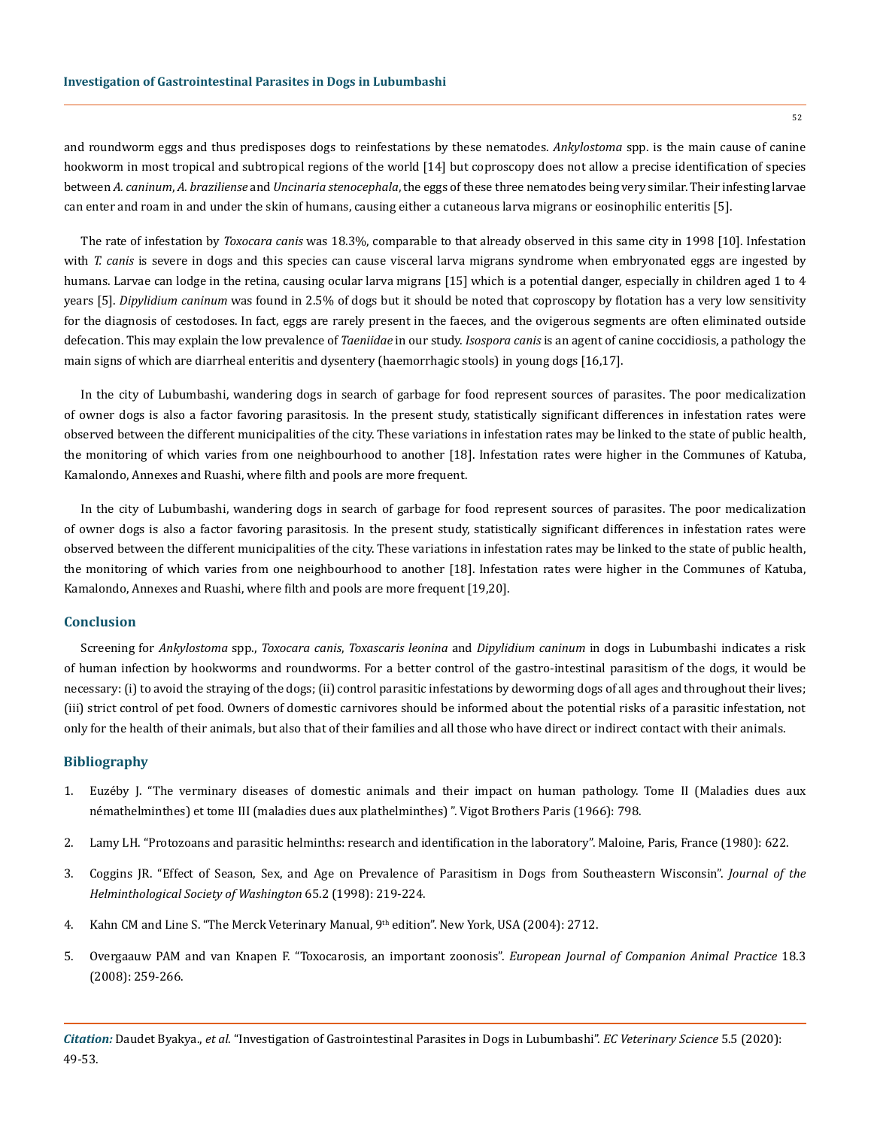and roundworm eggs and thus predisposes dogs to reinfestations by these nematodes. *Ankylostoma* spp. is the main cause of canine hookworm in most tropical and subtropical regions of the world [14] but coproscopy does not allow a precise identification of species between *A. caninum*, *A. braziliense* and *Uncinaria stenocephala*, the eggs of these three nematodes being very similar. Their infesting larvae can enter and roam in and under the skin of humans, causing either a cutaneous larva migrans or eosinophilic enteritis [5].

The rate of infestation by *Toxocara canis* was 18.3%, comparable to that already observed in this same city in 1998 [10]. Infestation with *T. canis* is severe in dogs and this species can cause visceral larva migrans syndrome when embryonated eggs are ingested by humans. Larvae can lodge in the retina, causing ocular larva migrans [15] which is a potential danger, especially in children aged 1 to 4 years [5]. *Dipylidium caninum* was found in 2.5% of dogs but it should be noted that coproscopy by flotation has a very low sensitivity for the diagnosis of cestodoses. In fact, eggs are rarely present in the faeces, and the ovigerous segments are often eliminated outside defecation. This may explain the low prevalence of *Taeniidae* in our study. *Isospora canis* is an agent of canine coccidiosis, a pathology the main signs of which are diarrheal enteritis and dysentery (haemorrhagic stools) in young dogs [16,17].

In the city of Lubumbashi, wandering dogs in search of garbage for food represent sources of parasites. The poor medicalization of owner dogs is also a factor favoring parasitosis. In the present study, statistically significant differences in infestation rates were observed between the different municipalities of the city. These variations in infestation rates may be linked to the state of public health, the monitoring of which varies from one neighbourhood to another [18]. Infestation rates were higher in the Communes of Katuba, Kamalondo, Annexes and Ruashi, where filth and pools are more frequent.

In the city of Lubumbashi, wandering dogs in search of garbage for food represent sources of parasites. The poor medicalization of owner dogs is also a factor favoring parasitosis. In the present study, statistically significant differences in infestation rates were observed between the different municipalities of the city. These variations in infestation rates may be linked to the state of public health, the monitoring of which varies from one neighbourhood to another [18]. Infestation rates were higher in the Communes of Katuba, Kamalondo, Annexes and Ruashi, where filth and pools are more frequent [19,20].

#### **Conclusion**

Screening for *Ankylostoma* spp., *Toxocara canis*, *Toxascaris leonina* and *Dipylidium caninum* in dogs in Lubumbashi indicates a risk of human infection by hookworms and roundworms. For a better control of the gastro-intestinal parasitism of the dogs, it would be necessary: (i) to avoid the straying of the dogs; (ii) control parasitic infestations by deworming dogs of all ages and throughout their lives; (iii) strict control of pet food. Owners of domestic carnivores should be informed about the potential risks of a parasitic infestation, not only for the health of their animals, but also that of their families and all those who have direct or indirect contact with their animals.

#### **Bibliography**

- 1. Euzéby J. "The verminary diseases of domestic animals and their impact on human pathology. Tome II (Maladies dues aux némathelminthes) et tome III (maladies dues aux plathelminthes) ". Vigot Brothers Paris (1966): 798.
- 2. Lamy LH. "Protozoans and parasitic helminths: research and identification in the laboratory". Maloine, Paris, France (1980): 622.
- 3. [Coggins JR. "Effect of Season, Sex, and Age on Prevalence of Parasitism in Dogs from Southeastern Wisconsin".](http://agris.fao.org/agris-search/search.do?recordID=US1997084269) *Journal of the [Helminthological Society of Washington](http://agris.fao.org/agris-search/search.do?recordID=US1997084269)* 65.2 (1998): 219-224.
- 4. Kahn CM and Line S. "The Merck Veterinary Manual, 9th edition". New York, USA (2004): 2712.
- 5. [Overgaauw PAM and van Knapen F. "Toxocarosis, an important zoonosis".](http://citeseerx.ist.psu.edu/viewdoc/download?doi=10.1.1.452.5360&rep=rep1&type=pdf) *European Journal of Companion Animal Practice* 18.3 [\(2008\): 259-266.](http://citeseerx.ist.psu.edu/viewdoc/download?doi=10.1.1.452.5360&rep=rep1&type=pdf)

*Citation:* Daudet Byakya., *et al*. "Investigation of Gastrointestinal Parasites in Dogs in Lubumbashi". *EC Veterinary Science* 5.5 (2020): 49-53.

52